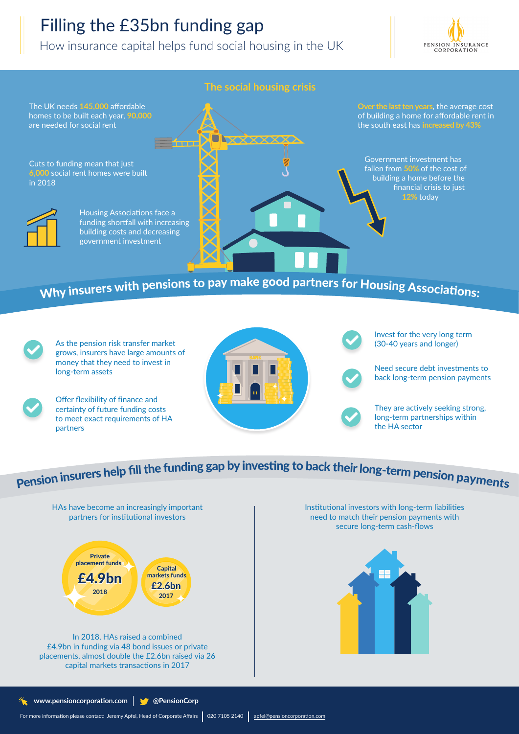## Filling the £35bn funding gap

How insurance capital helps fund social housing in the UK





As the pension risk transfer market grows, insurers have large amounts of money that they need to invest in long-term assets



Offer flexibility of finance and certainty of future funding costs to meet exact requirements of HA partners



Invest for the very long term (30-40 years and longer)



They are actively seeking strong, long-term partnerships within the HA sector

# Pension insurers help fill the funding gap by investing to back their long-term pension payments



£4.9bn in funding via 48 bond issues or private placements, almost double the £2.6bn raised via 26 capital markets transactions in 2017

Institutional investors with long-term liabilities need to match their pension payments with secure long-term cash-flows